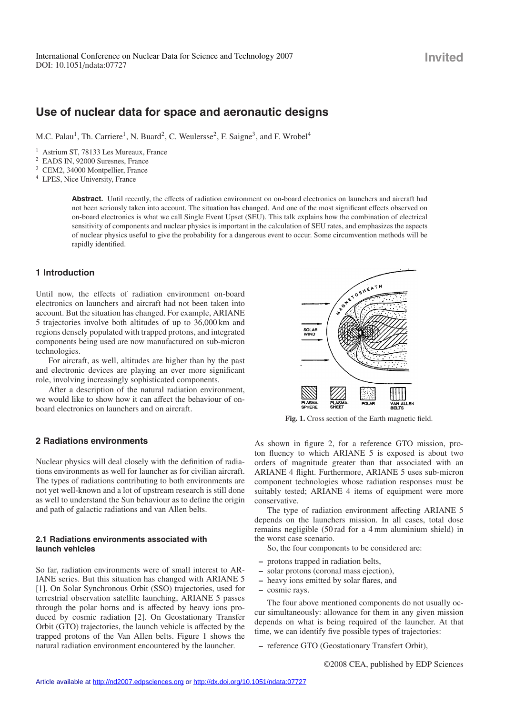# **Use of nuclear data for space and aeronautic designs**

M.C. Palau<sup>1</sup>, Th. Carriere<sup>1</sup>, N. Buard<sup>2</sup>, C. Weulersse<sup>2</sup>, F. Saigne<sup>3</sup>, and F. Wrobel<sup>4</sup>

<sup>1</sup> Astrium ST, 78133 Les Mureaux, France

<sup>2</sup> EADS IN, 92000 Suresnes, France

<sup>3</sup> CEM2, 34000 Montpellier, France

<sup>4</sup> LPES, Nice University, France

**Abstract.** Until recently, the effects of radiation environment on on-board electronics on launchers and aircraft had not been seriously taken into account. The situation has changed. And one of the most significant effects observed on on-board electronics is what we call Single Event Upset (SEU). This talk explains how the combination of electrical sensitivity of components and nuclear physics is important in the calculation of SEU rates, and emphasizes the aspects of nuclear physics useful to give the probability for a dangerous event to occur. Some circumvention methods will be rapidly identified.

# **1 Introduction**

Until now, the effects of radiation environment on-board electronics on launchers and aircraft had not been taken into account. But the situation has changed. For example, ARIANE 5 trajectories involve both altitudes of up to 36,000 km and regions densely populated with trapped protons, and integrated components being used are now manufactured on sub-micron technologies.

For aircraft, as well, altitudes are higher than by the past and electronic devices are playing an ever more significant role, involving increasingly sophisticated components.

After a description of the natural radiation environment, we would like to show how it can affect the behaviour of onboard electronics on launchers and on aircraft.

# **2 Radiations environments**

Nuclear physics will deal closely with the definition of radiations environments as well for launcher as for civilian aircraft. The types of radiations contributing to both environments are not yet well-known and a lot of upstream research is still done as well to understand the Sun behaviour as to define the origin and path of galactic radiations and van Allen belts.

# **2.1 Radiations environments associated with launch vehicles**

So far, radiation environments were of small interest to AR-IANE series. But this situation has changed with ARIANE 5 [1]. On Solar Synchronous Orbit (SSO) trajectories, used for terrestrial observation satellite launching, ARIANE 5 passes through the polar horns and is affected by heavy ions produced by cosmic radiation [2]. On Geostationary Transfer Orbit (GTO) trajectories, the launch vehicle is affected by the trapped protons of the Van Allen belts. Figure 1 shows the natural radiation environment encountered by the launcher.



**Fig. 1.** Cross section of the Earth magnetic field.

As shown in figure 2, for a reference GTO mission, proton fluency to which ARIANE 5 is exposed is about two orders of magnitude greater than that associated with an ARIANE 4 flight. Furthermore, ARIANE 5 uses sub-micron component technologies whose radiation responses must be suitably tested; ARIANE 4 items of equipment were more conservative.

The type of radiation environment affecting ARIANE 5 depends on the launchers mission. In all cases, total dose remains negligible (50 rad for a 4 mm aluminium shield) in the worst case scenario.

So, the four components to be considered are:

- **–** protons trapped in radiation belts,
- **–** solar protons (coronal mass ejection),
- **–** heavy ions emitted by solar flares, and
- **–** cosmic rays.

The four above mentioned components do not usually occur simultaneously: allowance for them in any given mission depends on what is being required of the launcher. At that time, we can identify five possible types of trajectories:

**–** reference GTO (Geostationary Transfert Orbit),

©2008 CEA, published by EDP Sciences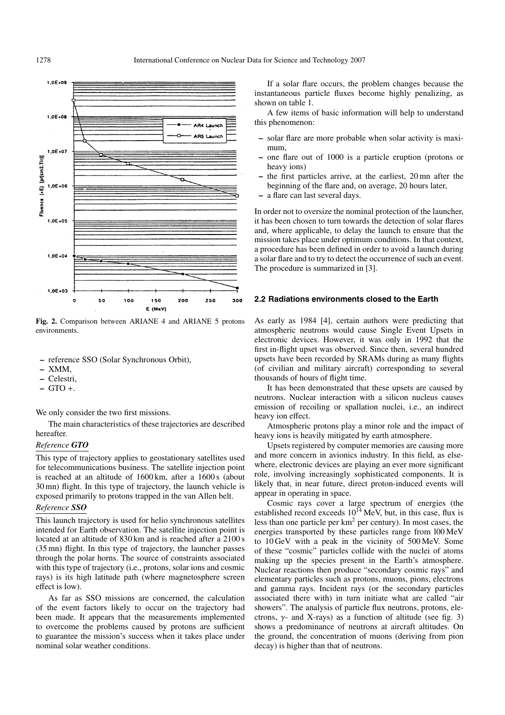

Fig. 2. Comparison between ARIANE 4 and ARIANE 5 protons environments.

- **–** reference SSO (Solar Synchronous Orbit),
- **–** XMM,
- **–** Celestri,
- **–** GTO +.

We only consider the two first missions.

The main characteristics of these trajectories are described hereafter.

## *Reference GTO*

This type of trajectory applies to geostationary satellites used for telecommunications business. The satellite injection point is reached at an altitude of 1600 km, after a 1600 s (about 30 mn) flight. In this type of trajectory, the launch vehicle is exposed primarily to protons trapped in the van Allen belt.

# *Reference SSO*

This launch trajectory is used for helio synchronous satellites intended for Earth observation. The satellite injection point is located at an altitude of 830 km and is reached after a 2100 s (35 mn) flight. In this type of trajectory, the launcher passes through the polar horns. The source of constraints associated with this type of trajectory (i.e., protons, solar ions and cosmic rays) is its high latitude path (where magnetosphere screen effect is low).

As far as SSO missions are concerned, the calculation of the event factors likely to occur on the trajectory had been made. It appears that the measurements implemented to overcome the problems caused by protons are sufficient to guarantee the mission's success when it takes place under nominal solar weather conditions.

If a solar flare occurs, the problem changes because the instantaneous particle fluxes become highly penalizing, as shown on table 1.

A few items of basic information will help to understand this phenomenon:

- **–** solar flare are more probable when solar activity is maximum,
- **–** one flare out of 1000 is a particle eruption (protons or heavy ions)
- **–** the first particles arrive, at the earliest, 20 mn after the beginning of the flare and, on average, 20 hours later,
- **–** a flare can last several days.

In order not to oversize the nominal protection of the launcher, it has been chosen to turn towards the detection of solar flares and, where applicable, to delay the launch to ensure that the mission takes place under optimum conditions. In that context, a procedure has been defined in order to avoid a launch during a solar flare and to try to detect the occurrence of such an event. The procedure is summarized in [3].

#### **2.2 Radiations environments closed to the Earth**

As early as 1984 [4], certain authors were predicting that atmospheric neutrons would cause Single Event Upsets in electronic devices. However, it was only in 1992 that the first in-flight upset was observed. Since then, several hundred upsets have been recorded by SRAMs during as many flights (of civilian and military aircraft) corresponding to several thousands of hours of flight time.

It has been demonstrated that these upsets are caused by neutrons. Nuclear interaction with a silicon nucleus causes emission of recoiling or spallation nuclei, i.e., an indirect heavy ion effect.

Atmospheric protons play a minor role and the impact of heavy ions is heavily mitigated by earth atmosphere.

Upsets registered by computer memories are causing more and more concern in avionics industry. In this field, as elsewhere, electronic devices are playing an ever more significant role, involving increasingly sophisticated components. It is likely that, in near future, direct proton-induced events will appear in operating in space.

Cosmic rays cover a large spectrum of energies (the established record exceeds  $10^{14}$  MeV, but, in this case, flux is less than one particle per  $km<sup>2</sup>$  per century). In most cases, the energies transported by these particles range from l00 MeV to 10 GeV with a peak in the vicinity of 500 MeV. Some of these "cosmic" particles collide with the nuclei of atoms making up the species present in the Earth's atmosphere. Nuclear reactions then produce "secondary cosmic rays" and elementary particles such as protons, muons, pions, electrons and gamma rays. Incident rays (or the secondary particles associated there with) in turn initiate what are called "air showers". The analysis of particle flux neutrons, protons, electrons,  $\gamma$ - and X-rays) as a function of altitude (see fig. 3) shows a predominance of neutrons at aircraft altitudes. On the ground, the concentration of muons (deriving from pion decay) is higher than that of neutrons.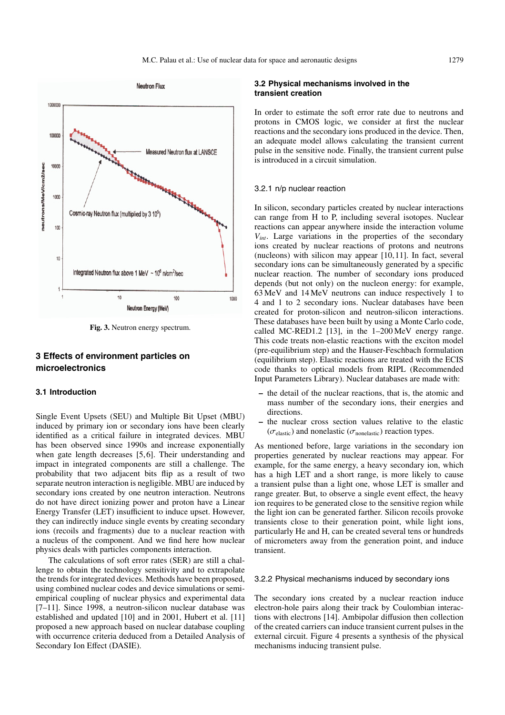

**Fig. 3.** Neutron energy spectrum.

# **3 Effects of environment particles on microelectronics**

### **3.1 Introduction**

Single Event Upsets (SEU) and Multiple Bit Upset (MBU) induced by primary ion or secondary ions have been clearly identified as a critical failure in integrated devices. MBU has been observed since 1990s and increase exponentially when gate length decreases [5,6]. Their understanding and impact in integrated components are still a challenge. The probability that two adjacent bits flip as a result of two separate neutron interaction is negligible. MBU are induced by secondary ions created by one neutron interaction. Neutrons do not have direct ionizing power and proton have a Linear Energy Transfer (LET) insufficient to induce upset. However, they can indirectly induce single events by creating secondary ions (recoils and fragments) due to a nuclear reaction with a nucleus of the component. And we find here how nuclear physics deals with particles components interaction.

The calculations of soft error rates (SER) are still a challenge to obtain the technology sensitivity and to extrapolate the trends for integrated devices. Methods have been proposed, using combined nuclear codes and device simulations or semiempirical coupling of nuclear physics and experimental data [7–11]. Since 1998, a neutron-silicon nuclear database was established and updated [10] and in 2001, Hubert et al. [11] proposed a new approach based on nuclear database coupling with occurrence criteria deduced from a Detailed Analysis of Secondary Ion Effect (DASIE).

## **3.2 Physical mechanisms involved in the transient creation**

In order to estimate the soft error rate due to neutrons and protons in CMOS logic, we consider at first the nuclear reactions and the secondary ions produced in the device. Then, an adequate model allows calculating the transient current pulse in the sensitive node. Finally, the transient current pulse is introduced in a circuit simulation.

#### 3.2.1 n/p nuclear reaction

In silicon, secondary particles created by nuclear interactions can range from H to P, including several isotopes. Nuclear reactions can appear anywhere inside the interaction volume *Vint*. Large variations in the properties of the secondary ions created by nuclear reactions of protons and neutrons (nucleons) with silicon may appear [10, 11]. In fact, several secondary ions can be simultaneously generated by a specific nuclear reaction. The number of secondary ions produced depends (but not only) on the nucleon energy: for example, 63 MeV and 14 MeV neutrons can induce respectively 1 to 4 and 1 to 2 secondary ions. Nuclear databases have been created for proton-silicon and neutron-silicon interactions. These databases have been built by using a Monte Carlo code, called MC-RED1.2 [13], in the 1–200 MeV energy range. This code treats non-elastic reactions with the exciton model (pre-equilibrium step) and the Hauser-Feschbach formulation (equilibrium step). Elastic reactions are treated with the ECIS code thanks to optical models from RIPL (Recommended Input Parameters Library). Nuclear databases are made with:

- **–** the detail of the nuclear reactions, that is, the atomic and mass number of the secondary ions, their energies and directions.
- **–** the nuclear cross section values relative to the elastic  $(\sigma_{\text{elastic}})$  and nonelastic ( $\sigma_{\text{nonelastic}}$ ) reaction types.

As mentioned before, large variations in the secondary ion properties generated by nuclear reactions may appear. For example, for the same energy, a heavy secondary ion, which has a high LET and a short range, is more likely to cause a transient pulse than a light one, whose LET is smaller and range greater. But, to observe a single event effect, the heavy ion requires to be generated close to the sensitive region while the light ion can be generated farther. Silicon recoils provoke transients close to their generation point, while light ions, particularly He and H, can be created several tens or hundreds of micrometers away from the generation point, and induce transient.

#### 3.2.2 Physical mechanisms induced by secondary ions

The secondary ions created by a nuclear reaction induce electron-hole pairs along their track by Coulombian interactions with electrons [14]. Ambipolar diffusion then collection of the created carriers can induce transient current pulses in the external circuit. Figure 4 presents a synthesis of the physical mechanisms inducing transient pulse.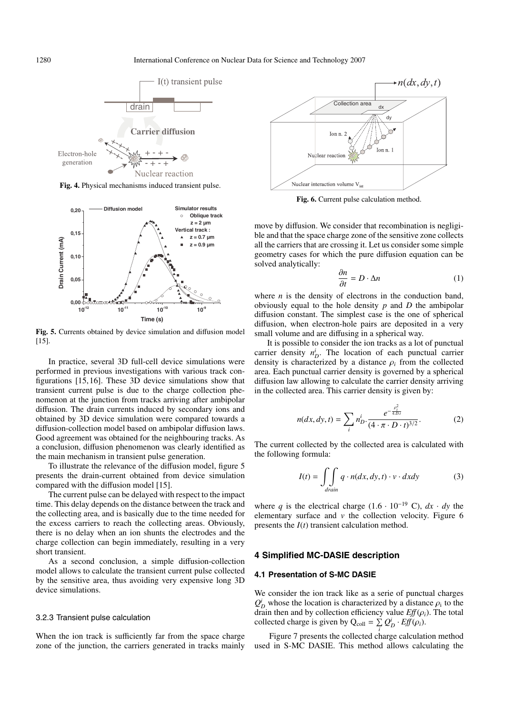

**Fig. 4.** Physical mechanisms induced transient pulse.



**Fig. 5.** Currents obtained by device simulation and diffusion model [15].

In practice, several 3D full-cell device simulations were performed in previous investigations with various track configurations [15, 16]. These 3D device simulations show that transient current pulse is due to the charge collection phenomenon at the junction from tracks arriving after ambipolar diffusion. The drain currents induced by secondary ions and obtained by 3D device simulation were compared towards a diffusion-collection model based on ambipolar diffusion laws. Good agreement was obtained for the neighbouring tracks. As a conclusion, diffusion phenomenon was clearly identified as the main mechanism in transient pulse generation.

To illustrate the relevance of the diffusion model, figure 5 presents the drain-current obtained from device simulation compared with the diffusion model [15].

The current pulse can be delayed with respect to the impact time. This delay depends on the distance between the track and the collecting area, and is basically due to the time needed for the excess carriers to reach the collecting areas. Obviously, there is no delay when an ion shunts the electrodes and the charge collection can begin immediately, resulting in a very short transient.

As a second conclusion, a simple diffusion-collection model allows to calculate the transient current pulse collected by the sensitive area, thus avoiding very expensive long 3D device simulations.

#### 3.2.3 Transient pulse calculation

When the ion track is sufficiently far from the space charge zone of the junction, the carriers generated in tracks mainly



**Fig. 6.** Current pulse calculation method.

move by diffusion. We consider that recombination is negligible and that the space charge zone of the sensitive zone collects all the carriers that are crossing it. Let us consider some simple geometry cases for which the pure diffusion equation can be solved analytically:

$$
\frac{\partial n}{\partial t} = D \cdot \Delta n \tag{1}
$$

where *n* is the density of electrons in the conduction band, obviously equal to the hole density *p* and *D* the ambipolar diffusion constant. The simplest case is the one of spherical diffusion, when electron-hole pairs are deposited in a very small volume and are diffusing in a spherical way.

It is possible to consider the ion tracks as a lot of punctual carrier density  $n_D^i$ . The location of each punctual carrier density is characterized by a distance  $\rho_i$  from the collected area. Each punctual carrier density is governed by a spherical diffusion law allowing to calculate the carrier density arriving in the collected area. This carrier density is given by:

$$
n(dx, dy, t) = \sum_{i} n_{D}^{i} \cdot \frac{e^{-\frac{p_{i}^{2}}{4.5t}}}{(4 \cdot \pi \cdot D \cdot t)^{3/2}}.
$$
 (2)

The current collected by the collected area is calculated with the following formula:

$$
I(t) = \iint_{\text{drain}} q \cdot n(dx, dy, t) \cdot v \cdot dxdy \tag{3}
$$

where *q* is the electrical charge  $(1.6 \cdot 10^{-19} \text{ C})$ ,  $dx \cdot dy$  the elementary surface and *v* the collection velocity. Figure 6 presents the *I*(*t*) transient calculation method.

#### **4 Simplified MC-DASIE description**

#### **4.1 Presentation of S-MC DASIE**

We consider the ion track like as a serie of punctual charges  $Q_D^i$  whose the location is characterized by a distance  $\rho_i$  to the drain then and by collection efficiency value  $Eff(\rho_i)$ . The total collected charge is given by  $Q_{\text{coll}} = \sum_{i} Q_{D}^{i} \cdot \text{Eff}(\rho_{i}).$ 

Figure 7 presents the collected charge calculation method used in S-MC DASIE. This method allows calculating the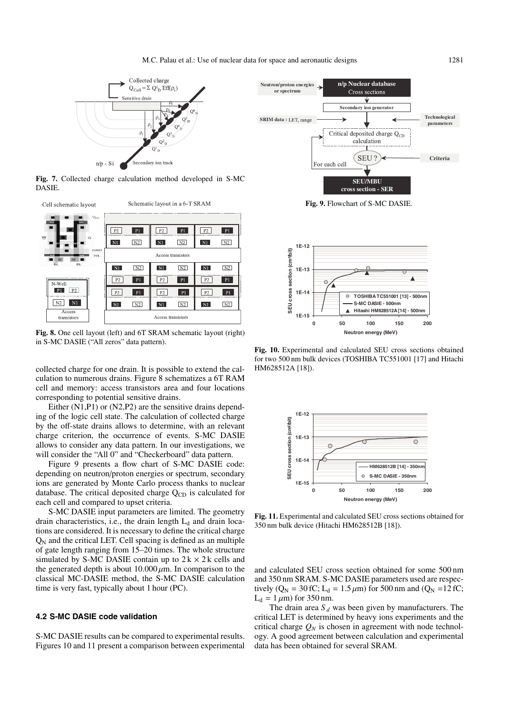

**Fig. 7.** Collected charge calculation method developed in S-MC DASIE.



**Fig. 8.** One cell layout (left) and 6T SRAM schematic layout (right) in S-MC DASIE ("All zeros" data pattern).

collected charge for one drain. It is possible to extend the calculation to numerous drains. Figure 8 schematizes a 6T RAM cell and memory: access transistors area and four locations corresponding to potential sensitive drains.

Either (N1,P1) or (N2,P2) are the sensitive drains depending of the logic cell state. The calculation of collected charge by the off-state drains allows to determine, with an relevant charge criterion, the occurrence of events. S-MC DASIE allows to consider any data pattern. In our investigations, we will consider the "All 0" and "Checkerboard" data pattern.

Figure 9 presents a flow chart of S-MC DASIE code: depending on neutron/proton energies or spectrum, secondary ions are generated by Monte Carlo process thanks to nuclear database. The critical deposited charge  $Q_{CD}$  is calculated for each cell and compared to upset criteria.

S-MC DASIE input parameters are limited. The geometry drain characteristics, i.e., the drain length  $L_d$  and drain locations are considered. It is necessary to define the critical charge  $Q_N$  and the critical LET. Cell spacing is defined as an multiple of gate length ranging from 15–20 times. The whole structure simulated by S-MC DASIE contain up to  $2k \times 2k$  cells and the generated depth is about  $10.000 \mu m$ . In comparison to the classical MC-DASIE method, the S-MC DASIE calculation time is very fast, typically about 1 hour (PC).

#### **4.2 S-MC DASIE code validation**

S-MC DASIE results can be compared to experimental results. Figures 10 and 11 present a comparison between experimental



**Fig. 9.** Flowchart of S-MC DASIE.



**Fig. 10.** Experimental and calculated SEU cross sections obtained for two 500 nm bulk devices (TOSHIBA TC551001 [17] and Hitachi HM628512A [18]).



**Fig. 11.** Experimental and calculated SEU cross sections obtained for 350 nm bulk device (Hitachi HM628512B [18]).

and calculated SEU cross section obtained for some 500 nm and 350 nm SRAM. S-MC DASIE parameters used are respectively ( $Q_N = 30$  fC; L<sub>d</sub> = 1.5  $\mu$ m) for 500 nm and ( $Q_N = 12$  fC;  $L_d = 1 \mu m$ ) for 350 nm.

The drain area  $S_d$  was been given by manufacturers. The critical LET is determined by heavy ions experiments and the critical charge  $Q_N$  is chosen in agreement with node technology. A good agreement between calculation and experimental data has been obtained for several SRAM.